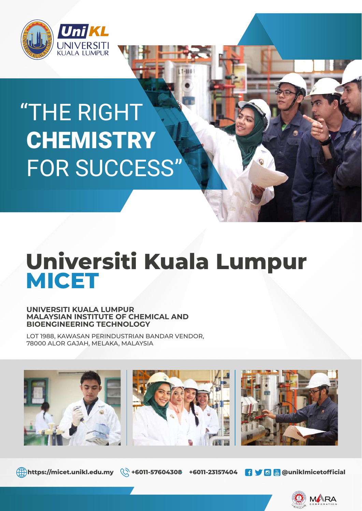

# **CHEMISTRY** FOR SUCCESS" "THE RIGHT

## **MICET Universiti Kuala Lumpur**

#### **UNIVERSITI KUALA LUMPUR MALAYSIAN INSTITUTE OF CHEMICAL AND BIOENGINEERING TECHNOLOGY**

LOT 1988, KAWASAN PERINDUSTRIAN BANDAR VENDOR, 78000 ALOR GAJAH, MELAKA, MALAYSIA



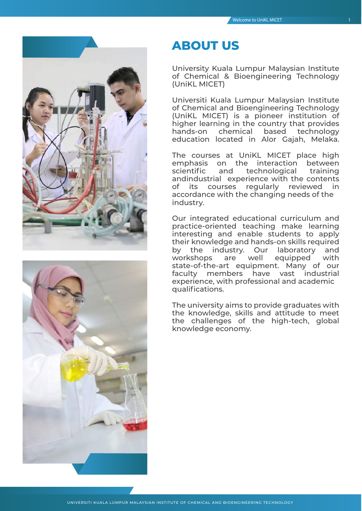



## **ABOUT US**

University Kuala Lumpur Malaysian Institute of Chemical & Bioengineering Technology (UniKL MICET)

Universiti Kuala Lumpur Malaysian Institute of Chemical and Bioengineering Technology (UniKL MICET) is a pioneer institution of higher learning in the country that provides hands-on chemical based technology education located in Alor Gajah, Melaka.

The courses at UniKL MICET place high emphasis on the interaction between scientific and technological training andindustrial experience with the contents of its courses regularly reviewed in accordance with the changing needs of the industry.

Our integrated educational curriculum and practice-oriented teaching make learning interesting and enable students to apply their knowledge and hands-on skills required by the industry. Our laboratory and workshops are well equipped with state-of-the-art equipment. Many of our faculty members have vast industrial experience, with professional and academic qualifications.

The university aims to provide graduates with the knowledge, skills and attitude to meet the challenges of the high-tech, global knowledge economy.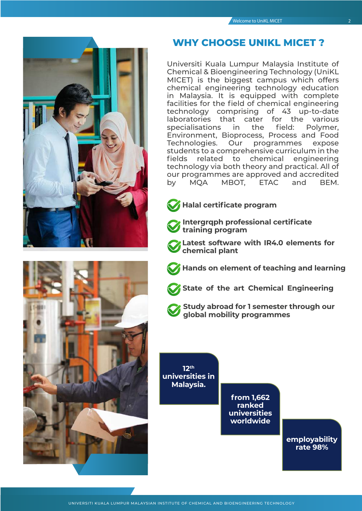



#### **WHY CHOOSE UNIKL MICET ?**

Universiti Kuala Lumpur Malaysia Institute of Chemical & Bioengineering Technology (UniKL MICET) is the biggest campus which offers chemical engineering technology education in Malaysia. It is equipped with complete facilities for the field of chemical engineering technology comprising of 43 up-to-date laboratories that cater for the various specialisations in the field: Polymer, Environment, Bioprocess, Process and Food Technologies. Our programmes expose students to a comprehensive curriculum in the fields related to chemical engineering technology via both theory and practical. All of our programmes are approved and accredited by MQA MBOT, ETAC and BEM.



#### **Halal certificate program**

- **Intergrqph professional certificate training program**
- **Latest software with IR4.0 elements for chemical plant**
- **Hands on element of teaching and learning**
- **State of the art Chemical Engineering**
- 

**Study abroad for 1 semester through our global mobility programmes**

**12th universities in Malaysia.**

> **from 1,662 ranked universities worldwide**

> > **employability rate 98%**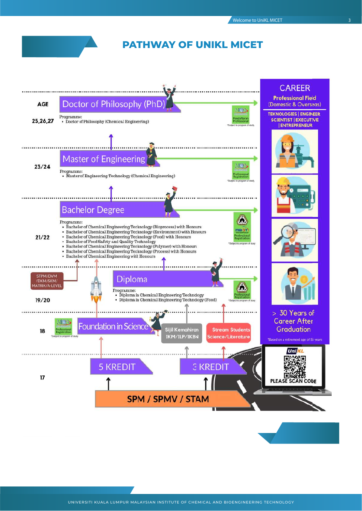#### **PATHWAY OF UNIKL MICET**



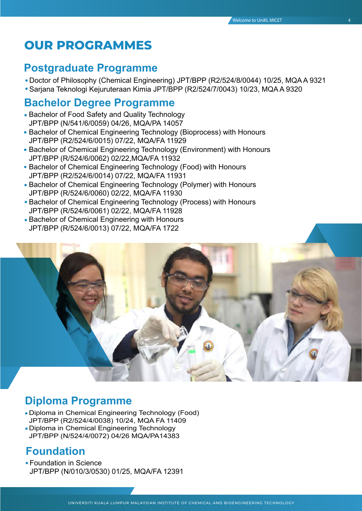## **OUR PROGRAMMES**

### **Postgraduate Programme**

- Doctor of Philosophy (Chemical Engineering) JPT/BPP (R2/524/8/0044) 10/25, MQA A 9321
- Sarjana Teknologi Kejuruteraan Kimia JPT/BPP (R2/524/7/0043) 10/23, MQA A 9320

#### **Bachelor Degree Programme**

- Bachelor of Food Safety and Quality Technology JPT/BPP (N/541/6/0059) 04/26, MQA/PA 14057
- Bachelor of Chemical Engineering Technology (Bioprocess) with Honours JPT/BPP (R2/524/6/0015) 07/22, MQA/FA 11929
- Bachelor of Chemical Engineering Technology (Environment) with Honours JPT/BPP (R/524/6/0062) 02/22,MQA/FA 11932
- Bachelor of Chemical Engineering Technology (Food) with Honours JPT/BPP (R2/524/6/0014) 07/22, MQA/FA 11931
- Bachelor of Chemical Engineering Technology (Polymer) with Honours JPT/BPP (R/524/6/0060) 02/22, MQA/FA 11930
- Bachelor of Chemical Engineering Technology (Process) with Honours JPT/BPP (R/524/6/0061) 02/22, MQA/FA 11928
- Bachelor of Chemical Engineering with Honours JPT/BPP (R/524/6/0013) 07/22, MQA/FA 1722



## **Diploma Programme**

- Diploma in Chemical Engineering Technology (Food) JPT/BPP (R2/524/4/0038) 10/24, MQA FA 11409
- Diploma in Chemical Engineering Technology JPT/BPP (N/524/4/0072) 04/26 MQA/PA14383

### **Foundation**

Foundation in Science JPT/BPP (N/010/3/0530) 01/25, MQA/FA 12391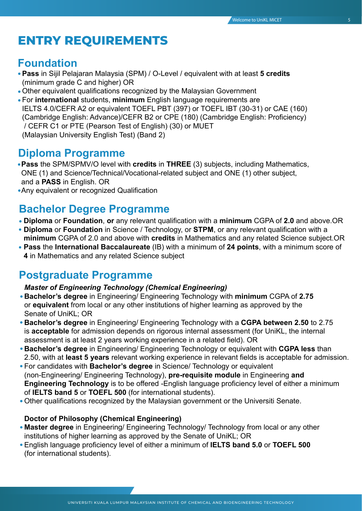## **ENTRY REQUIREMENTS**

#### **Foundation**

- **Pass** in Sijil Pelajaran Malaysia (SPM) / O-Level / equivalent with at least **5 credits**  (minimum grade C and higher) OR
- Other equivalent qualifications recognized by the Malaysian Government
- For **international** students, **minimum** English language requirements are IELTS 4.0/CEFR A2 or equivalent TOEFL PBT (397) or TOEFL IBT (30-31) or CAE (160) (Cambridge English: Advance)/CEFR B2 or CPE (180) (Cambridge English: Proficiency) / CEFR C1 or PTE (Pearson Test of English) (30) or MUET (Malaysian University English Test) (Band 2)

#### **Diploma Programme**

- **Pass** the SPM/SPMV/O level with **credits** in **THREE** (3) subjects, including Mathematics, ONE (1) and Science/Technical/Vocational-related subject and ONE (1) other subject, and a **PASS** in English. OR
- Any equivalent or recognized Qualification

### **Bachelor Degree Programme**

- **Diploma** or **Foundation**, **or** any relevant qualification with a **minimum** CGPA of **2.0** and above.OR
- **Diploma** or **Foundation** in Science / Technology, or **STPM**, or any relevant qualification with a **minimum** CGPA of 2.0 and above with **credits** in Mathematics and any related Science subject.OR
- **Pass** the **International Baccalaureate** (IB) with a minimum of **24 points**, with a minimum score of **4** in Mathematics and any related Science subject

#### **Postgraduate Programme**

#### *Master of Engineering Technology (Chemical Engineering)*

- **Bachelor's degree** in Engineering/ Engineering Technology with **minimum** CGPA of **2.75** or **equivalent** from local or any other institutions of higher learning as approved by the Senate of UniKL; OR
- **Bachelor's degree** in Engineering/ Engineering Technology with a **CGPA between 2.50** to 2.75 is **acceptable** for admission depends on rigorous internal assessment (for UniKL, the internal assessment is at least 2 years working experience in a related field). OR
- **Bachelor's degree** in Engineering/ Engineering Technology or equivalent with **CGPA less** than 2.50, with at **least 5 years** relevant working experience in relevant fields is acceptable for admission.
- For candidates with **Bachelor's degree** in Science/ Technology or equivalent (non-Engineering/ Engineering Technology), **pre-requisite module** in Engineering **and Engineering Technology** is to be offered -English language proficiency level of either a minimum of **IELTS band 5** or **TOEFL 500** (for international students).
- Other qualifications recognized by the Malaysian government or the Universiti Senate.

#### **Doctor of Philosophy (Chemical Engineering)**

- **Master degree** in Engineering/ Engineering Technology/ Technology from local or any other institutions of higher learning as approved by the Senate of UniKL; OR
- English language proficiency level of either a minimum of **IELTS band 5.0** or **TOEFL 500** (for international students).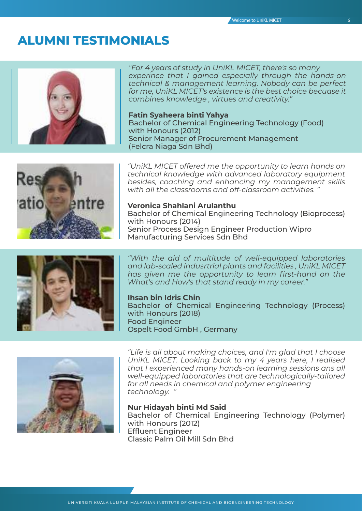## **ALUMNI TESTIMONIALS**



*"For 4 years of study in UniKL MICET, there's so many experince that I gained especially through the hands-on technical & management learning. Nobody can be perfect for me, UniKL MICET's existence is the best choice becuase it combines knowledge , virtues and creativity."*

**Fatin Syaheera binti Yahya** Bachelor of Chemical Engineering Technology (Food) with Honours (2012) Senior Manager of Procurement Management (Felcra Niaga Sdn Bhd)



*"UniKL MICET offered me the opportunity to learn hands on technical knowledge with advanced laboratory equipment besides, coaching and enhancing my management skills with all the classrooms and off-classroom activities. "*

#### **Veronica Shahlani Arulanthu**

Bachelor of Chemical Engineering Technology (Bioprocess) with Honours (2014) Senior Process Design Engineer Production Wipro Manufacturing Services Sdn Bhd



*"With the aid of multitude of well-equipped laboratories and lab-scaled indusrtrial plants and facilities , UniKL MICET has given me the opportunity to learn first-hand on the What's and How's that stand ready in my career."*

**Ihsan bin Idris Chin** Bachelor of Chemical Engineering Technology (Process) with Honours (2018) Food Engineer Ospelt Food GmbH , Germany



*"Life is all about making choices, and I'm glad that I choose UniKL MICET. Looking back to my 4 years here, I realised that I experienced many hands-on learning sessions ans all well-equipped laboratories that are technologically-tailored for all needs in chemical and polymer engineering technology. "*

**Nur Hidayah binti Md Said**

Bachelor of Chemical Engineering Technology (Polymer) with Honours (2012) Effluent Engineer Classic Palm Oil Mill Sdn Bhd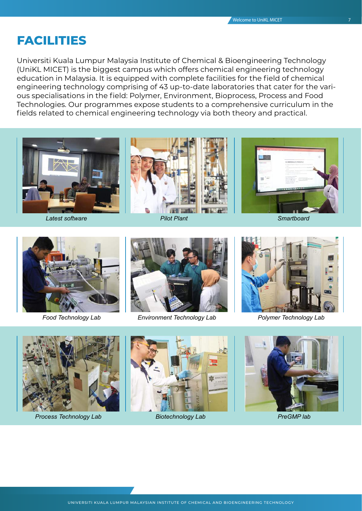#### **FACILITIES**

Universiti Kuala Lumpur Malaysia Institute of Chemical & Bioengineering Technology (UniKL MICET) is the biggest campus which offers chemical engineering technology education in Malaysia. It is equipped with complete facilities for the field of chemical engineering technology comprising of 43 up-to-date laboratories that cater for the various specialisations in the field: Polymer, Environment, Bioprocess, Process and Food Technologies. Our programmes expose students to a comprehensive curriculum in the fields related to chemical engineering technology via both theory and practical.









*Food Technology Lab Environment Technology Lab Polymer Technology Lab*





*Process Technology Lab Biotechnology Lab PreGMP lab*



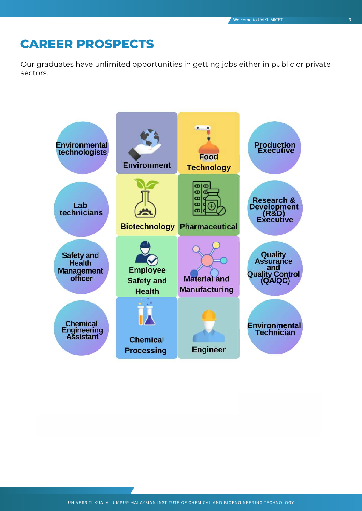## **CAREER PROSPECTS**

Our graduates have unlimited opportunities in getting jobs either in public or private sectors.